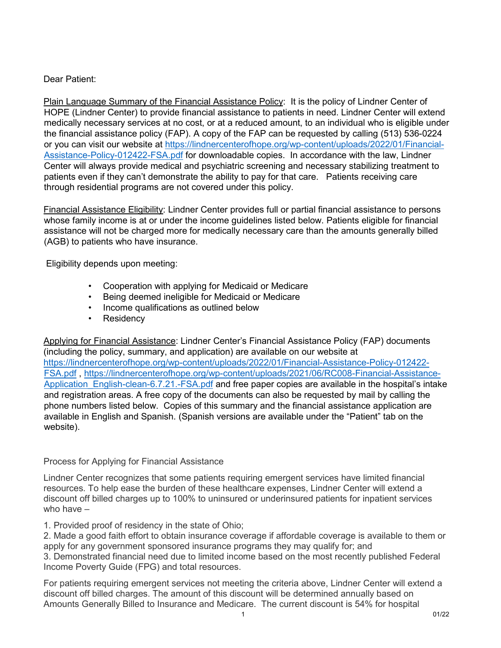## Dear Patient:

Plain Language Summary of the Financial Assistance Policy: It is the policy of Lindner Center of HOPE (Lindner Center) to provide financial assistance to patients in need. Lindner Center will extend medically necessary services at no cost, or at a reduced amount, to an individual who is eligible under the financial assistance policy (FAP). A copy of the FAP can be requested by calling (513) 536-0224 or you can visit our website at [https://lindnercenterofhope.org/wp-content/uploads/2022/01/Financial-](https://lindnercenterofhope.org/wp-content/uploads/2022/01/Financial-Assistance-Policy-012422-FSA.pdf)[Assistance-Policy-012422-FSA.pdf](https://lindnercenterofhope.org/wp-content/uploads/2022/01/Financial-Assistance-Policy-012422-FSA.pdf) for downloadable copies. In accordance with the law, Lindner Center will always provide medical and psychiatric screening and necessary stabilizing treatment to patients even if they can't demonstrate the ability to pay for that care. Patients receiving care through residential programs are not covered under this policy.

Financial Assistance Eligibility: Lindner Center provides full or partial financial assistance to persons whose family income is at or under the income guidelines listed below. Patients eligible for financial assistance will not be charged more for medically necessary care than the amounts generally billed (AGB) to patients who have insurance.

Eligibility depends upon meeting:

- Cooperation with applying for Medicaid or Medicare
- Being deemed ineligible for Medicaid or Medicare
- Income qualifications as outlined below
- Residency

Applying for Financial Assistance: Lindner Center's Financial Assistance Policy (FAP) documents (including the policy, summary, and application) are available on our website at [https://lindnercenterofhope.org/wp-content/uploads/2022/01/Financial-Assistance-Policy-012422-](https://lindnercenterofhope.org/wp-content/uploads/2022/01/Financial-Assistance-Policy-012422-FSA.pdf) [FSA.pdf](https://lindnercenterofhope.org/wp-content/uploads/2022/01/Financial-Assistance-Policy-012422-FSA.pdf) , [https://lindnercenterofhope.org/wp-content/uploads/2021/06/RC008-Financial-Assistance-](https://lindnercenterofhope.org/wp-content/uploads/2021/06/RC008-Financial-Assistance-Application_English-clean-6.7.21.-FSA.pdf)Application English-clean-6.7.21.-FSA.pdf and free paper copies are available in the hospital's intake and registration areas. A free copy of the documents can also be requested by mail by calling the phone numbers listed below. Copies of this summary and the financial assistance application are available in English and Spanish. (Spanish versions are available under the "Patient" tab on the website).

## Process for Applying for Financial Assistance

Lindner Center recognizes that some patients requiring emergent services have limited financial resources. To help ease the burden of these healthcare expenses, Lindner Center will extend a discount off billed charges up to 100% to uninsured or underinsured patients for inpatient services who have –

1. Provided proof of residency in the state of Ohio;

2. Made a good faith effort to obtain insurance coverage if affordable coverage is available to them or apply for any government sponsored insurance programs they may qualify for; and 3. Demonstrated financial need due to limited income based on the most recently published Federal Income Poverty Guide (FPG) and total resources.

For patients requiring emergent services not meeting the criteria above, Lindner Center will extend a discount off billed charges. The amount of this discount will be determined annually based on Amounts Generally Billed to Insurance and Medicare. The current discount is 54% for hospital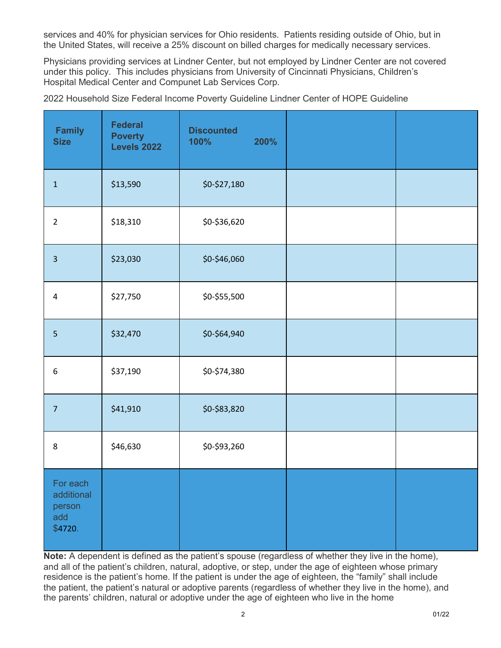services and 40% for physician services for Ohio residents. Patients residing outside of Ohio, but in the United States, will receive a 25% discount on billed charges for medically necessary services.

Physicians providing services at Lindner Center, but not employed by Lindner Center are not covered under this policy. This includes physicians from University of Cincinnati Physicians, Children's Hospital Medical Center and Compunet Lab Services Corp.

2022 Household Size Federal Income Poverty Guideline Lindner Center of HOPE Guideline

| <b>Family</b><br><b>Size</b>                       | <b>Federal</b><br><b>Poverty</b><br><b>Levels 2022</b> | <b>Discounted</b><br>100% | 200% |  |
|----------------------------------------------------|--------------------------------------------------------|---------------------------|------|--|
| $\mathbf{1}$                                       | \$13,590                                               | \$0-\$27,180              |      |  |
| $\overline{2}$                                     | \$18,310                                               | \$0-\$36,620              |      |  |
| $\overline{3}$                                     | \$23,030                                               | \$0-\$46,060              |      |  |
| $\overline{4}$                                     | \$27,750                                               | \$0-\$55,500              |      |  |
| $\overline{5}$                                     | \$32,470                                               | \$0-\$64,940              |      |  |
| $\boldsymbol{6}$                                   | \$37,190                                               | \$0-\$74,380              |      |  |
| $\overline{7}$                                     | \$41,910                                               | \$0-\$83,820              |      |  |
| $\,8\,$                                            | \$46,630                                               | \$0-\$93,260              |      |  |
| For each<br>additional<br>person<br>add<br>\$4720. |                                                        |                           |      |  |

**Note:** A dependent is defined as the patient's spouse (regardless of whether they live in the home), and all of the patient's children, natural, adoptive, or step, under the age of eighteen whose primary residence is the patient's home. If the patient is under the age of eighteen, the "family" shall include the patient, the patient's natural or adoptive parents (regardless of whether they live in the home), and the parents' children, natural or adoptive under the age of eighteen who live in the home